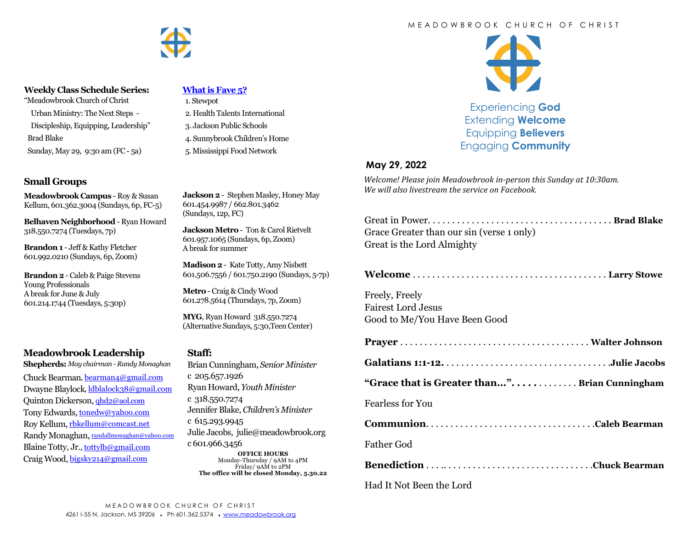

#### **Weekly Class Schedule Series:**

"Meadowbrook Church of Christ

 Urban Ministry: The Next Steps - Discipleship, Equipping, Leadership" Brad Blake

Sunday, May 29, 9:30 am (FC - 5a)

### **Small Groups**

**Meadowbrook Campus** - Roy & Susan Kellum, 601.362.3004 (Sundays, 6p, FC-5)

**Belhaven Neighborhood** - Ryan Howard 318.550.7274 (Tuesdays, 7p)

**Brandon 1** - Jeff & Kathy Fletcher 601.992.0210 (Sundays, 6p, Zoom)

**Brandon 2** - Caleb & Paige Stevens Young Professionals A break for June & July 601.214.1744 (Tuesdays, 5:30p)

## **Meadowbrook Leadership**

**Shepherds:** *May chairman - Randy Monaghan* Chuck Bearman, [bearman4@gmail.com](mailto:bearman4@gmail.com) Dwayne Blaylock, [ldblalock38@gmail.com](mailto:ldblaylock38@gmail.com) Quinton Dickerson, [qhd2@aol.com](mailto:qhd2@aol.com) Tony Edwards, [tonedw@yahoo.com](mailto:tonedw@yahoo.com) Roy Kellum, [rbkellum@comcast.net](mailto:rbkellum@comcast.net) Randy Monaghan, [randallmonaghan@yahoo.com](mailto:randallmonaghan@yahoo.com) Blaine Totty, Jr., [tottylb@gmail.com](mailto:tottylb@gmail.com) Craig Wood, [bigsky214@gmail.com](mailto:bigsky214@gmail.com)

### **[What is Fave 5?](https://meadowbrook.ccbchurch.com/group_detail.php?group_id=131)**

- 1. Stewpot 2. Health Talents International
- 3. Jackson Public Schools
- 4. Sunnybrook Children's Home
- 5. Mississippi Food Network

**Jackson 2** - Stephen Masley, Honey May 601.454.9987 / 662.801.3462 (Sundays, 12p, FC)

**Jackson Metro** - Ton & Carol Rietvelt 601.957.1065 (Sundays, 6p, Zoom) A break for summer

**Madison 2**- Kate Totty, Amy Nisbett 601.506.7556 / 601.750.2190 (Sundays, 5-7p)

**Metro** - Craig & Cindy Wood 601.278.5614 (Thursdays, 7p, Zoom)

**MYG**, Ryan Howard 318.550.7274 (Alternative Sundays, 5:30,Teen Center)

#### **Staff:**

Brian Cunningham, *Senior Minister*  c 205.657.1926 Ryan Howard, *Youth Minister*  c 318.550.7274 Jennifer Blake, *Children's Minister*  c 615.293.9945 Julie Jacobs, julie@meadowbrook.org c 601.966.3456 **OFFICE HOURS** Monday-Thursday / 9AM to 4PM Friday/ 9AM to 2PM **The office will be closed Monday, 5.30.22**

#### M E A D O W B R O O K C H U R C H O F C H R I S T



Experiencing **God** Extending **Welcome** Equipping **Believers** Engaging **Community**

### **May 29, 2022**

*Welcome! Please join Meadowbrook in-person this Sunday at 10:30am. We will also livestream the service on Facebook.*

| Grace Greater than our sin (verse 1 only) |  |
|-------------------------------------------|--|
| Great is the Lord Almighty                |  |

**Welcome** . . . . . . . . . . . . . . . . . . . . . . . . . . . . . . . . . . . . . . . . **Larry Stowe**

Freely, Freely Fairest Lord Jesus Good to Me/You Have Been Good

|--|--|

**Galatians 1:1-12.** . . . . . . . . . . . . . . . . . . . . . . . . . . . . . . . . . .**Julie Jacobs**

**"Grace that is Greater than...". . . . .** . . . . . . . . **Brian Cunningham**

### Fearless for You

**Communion**. . . . . . . . . . . . . . . . . . . . . . . . . . . . . . . . . . .**Caleb Bearman**

Father God

**Benediction** . . . .. . . . . . . . . . . . . . . . . . . . . . . . . . . . . . .**Chuck Bearman**

Had It Not Been the Lord